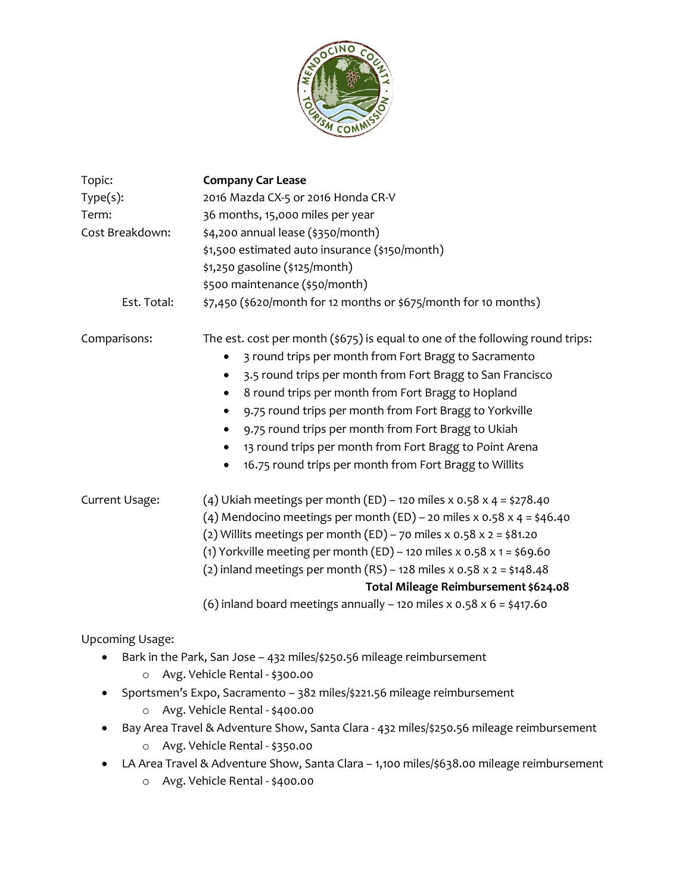

| Topic:          | <b>Company Car Lease</b>                                                      |
|-----------------|-------------------------------------------------------------------------------|
| $Type(s)$ :     | 2016 Mazda CX-5 or 2016 Honda CR-V                                            |
| Term:           | 36 months, 15,000 miles per year                                              |
| Cost Breakdown: | \$4,200 annual lease (\$350/month)                                            |
|                 | \$1,500 estimated auto insurance (\$150/month)                                |
|                 | \$1,250 gasoline (\$125/month)                                                |
|                 | \$500 maintenance (\$50/month)                                                |
| Est. Total:     | \$7,450 (\$620/month for 12 months or \$675/month for 10 months)              |
| Comparisons:    | The est. cost per month (\$675) is equal to one of the following round trips: |
|                 | 3 round trips per month from Fort Bragg to Sacramento                         |
|                 | 3.5 round trips per month from Fort Bragg to San Francisco                    |
|                 | 8 round trips per month from Fort Bragg to Hopland<br>$\bullet$               |
|                 | 9.75 round trips per month from Fort Bragg to Yorkville<br>$\bullet$          |
|                 | 9.75 round trips per month from Fort Bragg to Ukiah<br>$\bullet$              |
|                 | 13 round trips per month from Fort Bragg to Point Arena<br>$\bullet$          |
|                 | 16.75 round trips per month from Fort Bragg to Willits                        |
| Current Usage:  | (4) Ukiah meetings per month (ED) - 120 miles x 0.58 x 4 = \$278.40           |
|                 | (4) Mendocino meetings per month $(ED)$ – 20 miles x 0.58 x 4 = \$46.40       |
|                 | (2) Willits meetings per month $(ED)$ – 70 miles x 0.58 x 2 = \$81.20         |
|                 | (1) Yorkville meeting per month $(ED)$ - 120 miles x 0.58 x 1 = \$69.60       |
|                 | (2) inland meetings per month (RS) - 128 miles x 0.58 x 2 = \$148.48          |
|                 | Total Mileage Reimbursement \$624.08                                          |
|                 | (6) inland board meetings annually - 120 miles x 0.58 x 6 = \$417.60          |
|                 |                                                                               |

Upcoming Usage:

- Bark in the Park, San Jose 432 miles/\$250.56 mileage reimbursement
	- o Avg. Vehicle Rental \$300.00
- Sportsmen's Expo, Sacramento 382 miles/\$221.56 mileage reimbursement
	- o Avg. Vehicle Rental \$400.00
- Bay Area Travel & Adventure Show, Santa Clara 432 miles/\$250.56 mileage reimbursement
	- o Avg. Vehicle Rental \$350.00
- LA Area Travel & Adventure Show, Santa Clara 1,100 miles/\$638.00 mileage reimbursement
	- o Avg. Vehicle Rental \$400.00